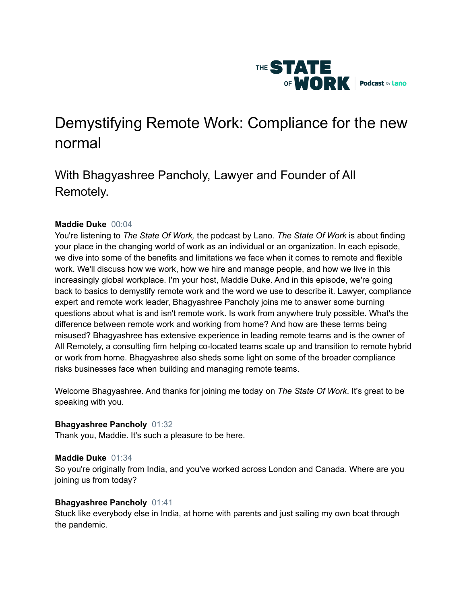

# Demystifying Remote Work: Compliance for the new normal

# With Bhagyashree Pancholy, Lawyer and Founder of All Remotely.

# **Maddie Duke** 00:04

You're listening to *The State Of Work,* the podcast by Lano. *The State Of Work* is about finding your place in the changing world of work as an individual or an organization. In each episode, we dive into some of the benefits and limitations we face when it comes to remote and flexible work. We'll discuss how we work, how we hire and manage people, and how we live in this increasingly global workplace. I'm your host, Maddie Duke. And in this episode, we're going back to basics to demystify remote work and the word we use to describe it. Lawyer, compliance expert and remote work leader, Bhagyashree Pancholy joins me to answer some burning questions about what is and isn't remote work. Is work from anywhere truly possible. What's the difference between remote work and working from home? And how are these terms being misused? Bhagyashree has extensive experience in leading remote teams and is the owner of All Remotely, a consulting firm helping co-located teams scale up and transition to remote hybrid or work from home. Bhagyashree also sheds some light on some of the broader compliance risks businesses face when building and managing remote teams.

Welcome Bhagyashree. And thanks for joining me today on *The State Of Work*. It's great to be speaking with you.

# **Bhagyashree Pancholy** 01:32

Thank you, Maddie. It's such a pleasure to be here.

# **Maddie Duke** 01:34

So you're originally from India, and you've worked across London and Canada. Where are you joining us from today?

# **Bhagyashree Pancholy** 01:41

Stuck like everybody else in India, at home with parents and just sailing my own boat through the pandemic.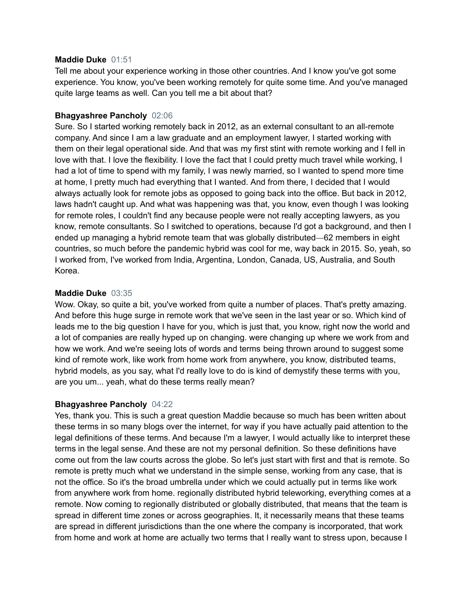#### **Maddie Duke** 01:51

Tell me about your experience working in those other countries. And I know you've got some experience. You know, you've been working remotely for quite some time. And you've managed quite large teams as well. Can you tell me a bit about that?

# **Bhagyashree Pancholy** 02:06

Sure. So I started working remotely back in 2012, as an external consultant to an all-remote company. And since I am a law graduate and an employment lawyer, I started working with them on their legal operational side. And that was my first stint with remote working and I fell in love with that. I love the flexibility. I love the fact that I could pretty much travel while working, I had a lot of time to spend with my family, I was newly married, so I wanted to spend more time at home, I pretty much had everything that I wanted. And from there, I decided that I would always actually look for remote jobs as opposed to going back into the office. But back in 2012, laws hadn't caught up. And what was happening was that, you know, even though I was looking for remote roles, I couldn't find any because people were not really accepting lawyers, as you know, remote consultants. So I switched to operations, because I'd got a background, and then I ended up managing a hybrid remote team that was globally distributed—62 members in eight countries, so much before the pandemic hybrid was cool for me, way back in 2015. So, yeah, so I worked from, I've worked from India, Argentina, London, Canada, US, Australia, and South Korea.

# **Maddie Duke** 03:35

Wow. Okay, so quite a bit, you've worked from quite a number of places. That's pretty amazing. And before this huge surge in remote work that we've seen in the last year or so. Which kind of leads me to the big question I have for you, which is just that, you know, right now the world and a lot of companies are really hyped up on changing. were changing up where we work from and how we work. And we're seeing lots of words and terms being thrown around to suggest some kind of remote work, like work from home work from anywhere, you know, distributed teams, hybrid models, as you say, what I'd really love to do is kind of demystify these terms with you, are you um... yeah, what do these terms really mean?

# **Bhagyashree Pancholy** 04:22

Yes, thank you. This is such a great question Maddie because so much has been written about these terms in so many blogs over the internet, for way if you have actually paid attention to the legal definitions of these terms. And because I'm a lawyer, I would actually like to interpret these terms in the legal sense. And these are not my personal definition. So these definitions have come out from the law courts across the globe. So let's just start with first and that is remote. So remote is pretty much what we understand in the simple sense, working from any case, that is not the office. So it's the broad umbrella under which we could actually put in terms like work from anywhere work from home. regionally distributed hybrid teleworking, everything comes at a remote. Now coming to regionally distributed or globally distributed, that means that the team is spread in different time zones or across geographies. It, it necessarily means that these teams are spread in different jurisdictions than the one where the company is incorporated, that work from home and work at home are actually two terms that I really want to stress upon, because I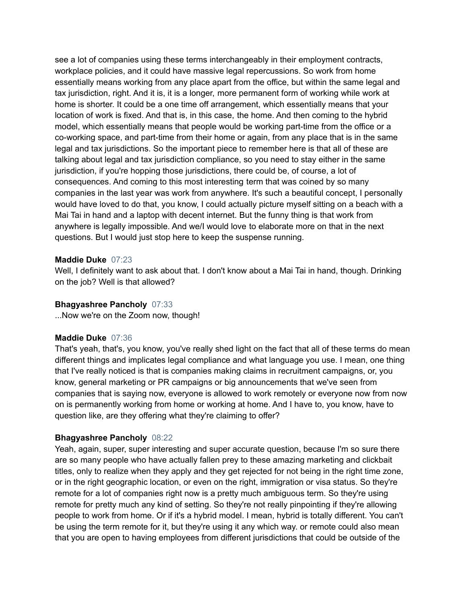see a lot of companies using these terms interchangeably in their employment contracts, workplace policies, and it could have massive legal repercussions. So work from home essentially means working from any place apart from the office, but within the same legal and tax jurisdiction, right. And it is, it is a longer, more permanent form of working while work at home is shorter. It could be a one time off arrangement, which essentially means that your location of work is fixed. And that is, in this case, the home. And then coming to the hybrid model, which essentially means that people would be working part-time from the office or a co-working space, and part-time from their home or again, from any place that is in the same legal and tax jurisdictions. So the important piece to remember here is that all of these are talking about legal and tax jurisdiction compliance, so you need to stay either in the same jurisdiction, if you're hopping those jurisdictions, there could be, of course, a lot of consequences. And coming to this most interesting term that was coined by so many companies in the last year was work from anywhere. It's such a beautiful concept, I personally would have loved to do that, you know, I could actually picture myself sitting on a beach with a Mai Tai in hand and a laptop with decent internet. But the funny thing is that work from anywhere is legally impossible. And we/I would love to elaborate more on that in the next questions. But I would just stop here to keep the suspense running.

#### **Maddie Duke** 07:23

Well, I definitely want to ask about that. I don't know about a Mai Tai in hand, though. Drinking on the job? Well is that allowed?

#### **Bhagyashree Pancholy** 07:33

...Now we're on the Zoom now, though!

# **Maddie Duke** 07:36

That's yeah, that's, you know, you've really shed light on the fact that all of these terms do mean different things and implicates legal compliance and what language you use. I mean, one thing that I've really noticed is that is companies making claims in recruitment campaigns, or, you know, general marketing or PR campaigns or big announcements that we've seen from companies that is saying now, everyone is allowed to work remotely or everyone now from now on is permanently working from home or working at home. And I have to, you know, have to question like, are they offering what they're claiming to offer?

# **Bhagyashree Pancholy** 08:22

Yeah, again, super, super interesting and super accurate question, because I'm so sure there are so many people who have actually fallen prey to these amazing marketing and clickbait titles, only to realize when they apply and they get rejected for not being in the right time zone, or in the right geographic location, or even on the right, immigration or visa status. So they're remote for a lot of companies right now is a pretty much ambiguous term. So they're using remote for pretty much any kind of setting. So they're not really pinpointing if they're allowing people to work from home. Or if it's a hybrid model. I mean, hybrid is totally different. You can't be using the term remote for it, but they're using it any which way. or remote could also mean that you are open to having employees from different jurisdictions that could be outside of the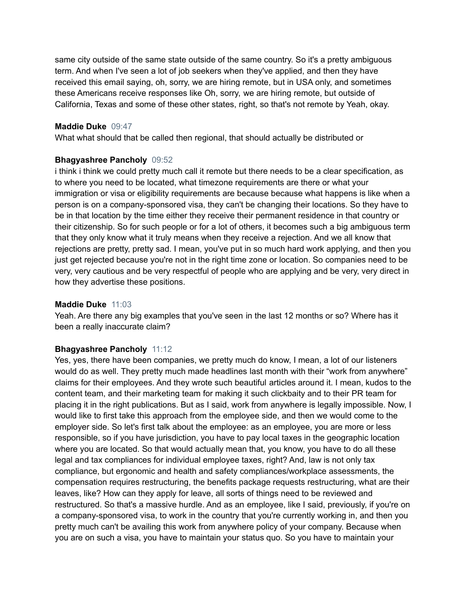same city outside of the same state outside of the same country. So it's a pretty ambiguous term. And when I've seen a lot of job seekers when they've applied, and then they have received this email saying, oh, sorry, we are hiring remote, but in USA only, and sometimes these Americans receive responses like Oh, sorry, we are hiring remote, but outside of California, Texas and some of these other states, right, so that's not remote by Yeah, okay.

#### **Maddie Duke** 09:47

What what should that be called then regional, that should actually be distributed or

# **Bhagyashree Pancholy** 09:52

i think i think we could pretty much call it remote but there needs to be a clear specification, as to where you need to be located, what timezone requirements are there or what your immigration or visa or eligibility requirements are because because what happens is like when a person is on a company-sponsored visa, they can't be changing their locations. So they have to be in that location by the time either they receive their permanent residence in that country or their citizenship. So for such people or for a lot of others, it becomes such a big ambiguous term that they only know what it truly means when they receive a rejection. And we all know that rejections are pretty, pretty sad. I mean, you've put in so much hard work applying, and then you just get rejected because you're not in the right time zone or location. So companies need to be very, very cautious and be very respectful of people who are applying and be very, very direct in how they advertise these positions.

#### **Maddie Duke** 11:03

Yeah. Are there any big examples that you've seen in the last 12 months or so? Where has it been a really inaccurate claim?

# **Bhagyashree Pancholy** 11:12

Yes, yes, there have been companies, we pretty much do know, I mean, a lot of our listeners would do as well. They pretty much made headlines last month with their "work from anywhere" claims for their employees. And they wrote such beautiful articles around it. I mean, kudos to the content team, and their marketing team for making it such clickbaity and to their PR team for placing it in the right publications. But as I said, work from anywhere is legally impossible. Now, I would like to first take this approach from the employee side, and then we would come to the employer side. So let's first talk about the employee: as an employee, you are more or less responsible, so if you have jurisdiction, you have to pay local taxes in the geographic location where you are located. So that would actually mean that, you know, you have to do all these legal and tax compliances for individual employee taxes, right? And, law is not only tax compliance, but ergonomic and health and safety compliances/workplace assessments, the compensation requires restructuring, the benefits package requests restructuring, what are their leaves, like? How can they apply for leave, all sorts of things need to be reviewed and restructured. So that's a massive hurdle. And as an employee, like I said, previously, if you're on a company-sponsored visa, to work in the country that you're currently working in, and then you pretty much can't be availing this work from anywhere policy of your company. Because when you are on such a visa, you have to maintain your status quo. So you have to maintain your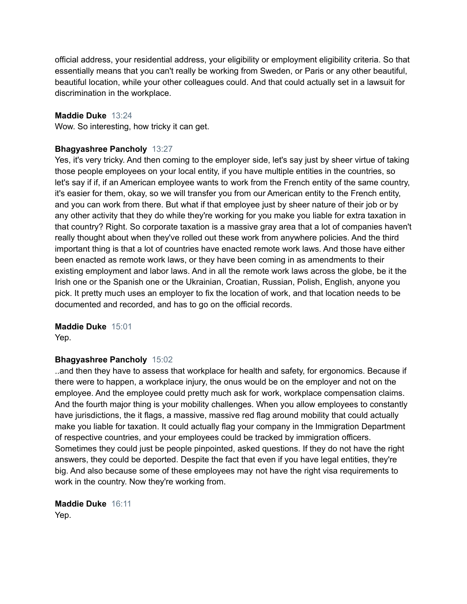official address, your residential address, your eligibility or employment eligibility criteria. So that essentially means that you can't really be working from Sweden, or Paris or any other beautiful, beautiful location, while your other colleagues could. And that could actually set in a lawsuit for discrimination in the workplace.

#### **Maddie Duke** 13:24

Wow. So interesting, how tricky it can get.

#### **Bhagyashree Pancholy** 13:27

Yes, it's very tricky. And then coming to the employer side, let's say just by sheer virtue of taking those people employees on your local entity, if you have multiple entities in the countries, so let's say if if, if an American employee wants to work from the French entity of the same country, it's easier for them, okay, so we will transfer you from our American entity to the French entity, and you can work from there. But what if that employee just by sheer nature of their job or by any other activity that they do while they're working for you make you liable for extra taxation in that country? Right. So corporate taxation is a massive gray area that a lot of companies haven't really thought about when they've rolled out these work from anywhere policies. And the third important thing is that a lot of countries have enacted remote work laws. And those have either been enacted as remote work laws, or they have been coming in as amendments to their existing employment and labor laws. And in all the remote work laws across the globe, be it the Irish one or the Spanish one or the Ukrainian, Croatian, Russian, Polish, English, anyone you pick. It pretty much uses an employer to fix the location of work, and that location needs to be documented and recorded, and has to go on the official records.

**Maddie Duke** 15:01 Yep.

#### **Bhagyashree Pancholy** 15:02

..and then they have to assess that workplace for health and safety, for ergonomics. Because if there were to happen, a workplace injury, the onus would be on the employer and not on the employee. And the employee could pretty much ask for work, workplace compensation claims. And the fourth major thing is your mobility challenges. When you allow employees to constantly have jurisdictions, the it flags, a massive, massive red flag around mobility that could actually make you liable for taxation. It could actually flag your company in the Immigration Department of respective countries, and your employees could be tracked by immigration officers. Sometimes they could just be people pinpointed, asked questions. If they do not have the right answers, they could be deported. Despite the fact that even if you have legal entities, they're big. And also because some of these employees may not have the right visa requirements to work in the country. Now they're working from.

**Maddie Duke** 16:11 Yep.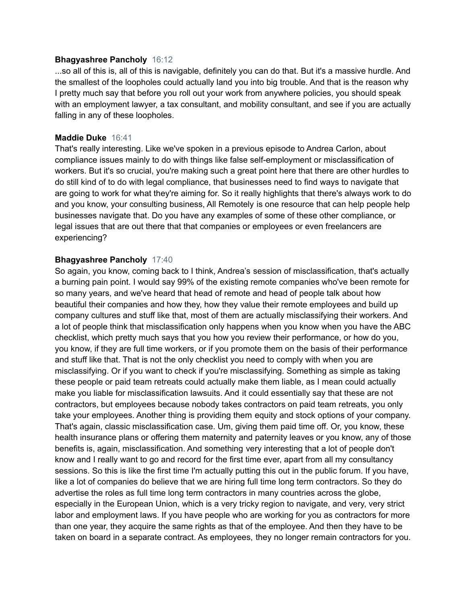#### **Bhagyashree Pancholy** 16:12

...so all of this is, all of this is navigable, definitely you can do that. But it's a massive hurdle. And the smallest of the loopholes could actually land you into big trouble. And that is the reason why I pretty much say that before you roll out your work from anywhere policies, you should speak with an employment lawyer, a tax consultant, and mobility consultant, and see if you are actually falling in any of these loopholes.

# **Maddie Duke** 16:41

That's really interesting. Like we've spoken in a previous episode to Andrea Carlon, about compliance issues mainly to do with things like false self-employment or misclassification of workers. But it's so crucial, you're making such a great point here that there are other hurdles to do still kind of to do with legal compliance, that businesses need to find ways to navigate that are going to work for what they're aiming for. So it really highlights that there's always work to do and you know, your consulting business, All Remotely is one resource that can help people help businesses navigate that. Do you have any examples of some of these other compliance, or legal issues that are out there that that companies or employees or even freelancers are experiencing?

# **Bhagyashree Pancholy** 17:40

So again, you know, coming back to I think, Andrea's session of misclassification, that's actually a burning pain point. I would say 99% of the existing remote companies who've been remote for so many years, and we've heard that head of remote and head of people talk about how beautiful their companies and how they, how they value their remote employees and build up company cultures and stuff like that, most of them are actually misclassifying their workers. And a lot of people think that misclassification only happens when you know when you have the ABC checklist, which pretty much says that you how you review their performance, or how do you, you know, if they are full time workers, or if you promote them on the basis of their performance and stuff like that. That is not the only checklist you need to comply with when you are misclassifying. Or if you want to check if you're misclassifying. Something as simple as taking these people or paid team retreats could actually make them liable, as I mean could actually make you liable for misclassification lawsuits. And it could essentially say that these are not contractors, but employees because nobody takes contractors on paid team retreats, you only take your employees. Another thing is providing them equity and stock options of your company. That's again, classic misclassification case. Um, giving them paid time off. Or, you know, these health insurance plans or offering them maternity and paternity leaves or you know, any of those benefits is, again, misclassification. And something very interesting that a lot of people don't know and I really want to go and record for the first time ever, apart from all my consultancy sessions. So this is like the first time I'm actually putting this out in the public forum. If you have, like a lot of companies do believe that we are hiring full time long term contractors. So they do advertise the roles as full time long term contractors in many countries across the globe, especially in the European Union, which is a very tricky region to navigate, and very, very strict labor and employment laws. If you have people who are working for you as contractors for more than one year, they acquire the same rights as that of the employee. And then they have to be taken on board in a separate contract. As employees, they no longer remain contractors for you.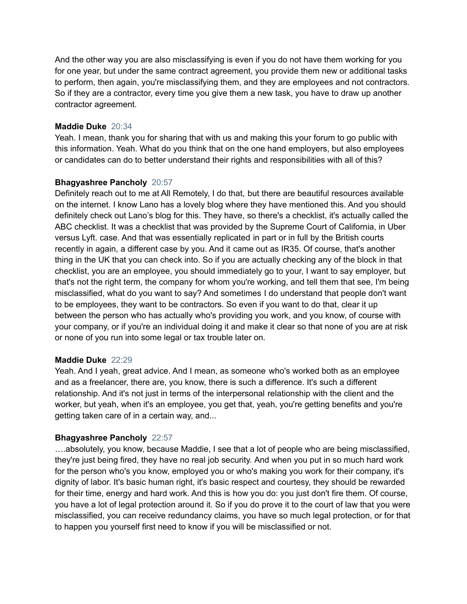And the other way you are also misclassifying is even if you do not have them working for you for one year, but under the same contract agreement, you provide them new or additional tasks to perform, then again, you're misclassifying them, and they are employees and not contractors. So if they are a contractor, every time you give them a new task, you have to draw up another contractor agreement.

# **Maddie Duke** 20:34

Yeah. I mean, thank you for sharing that with us and making this your forum to go public with this information. Yeah. What do you think that on the one hand employers, but also employees or candidates can do to better understand their rights and responsibilities with all of this?

# **Bhagyashree Pancholy** 20:57

Definitely reach out to me at All Remotely, I do that, but there are beautiful resources available on the internet. I know Lano has a lovely blog where they have mentioned this. And you should definitely check out Lano's blog for this. They have, so there's a checklist, it's actually called the ABC checklist. It was a checklist that was provided by the Supreme Court of California, in Uber versus Lyft. case. And that was essentially replicated in part or in full by the British courts recently in again, a different case by you. And it came out as IR35. Of course, that's another thing in the UK that you can check into. So if you are actually checking any of the block in that checklist, you are an employee, you should immediately go to your, I want to say employer, but that's not the right term, the company for whom you're working, and tell them that see, I'm being misclassified, what do you want to say? And sometimes I do understand that people don't want to be employees, they want to be contractors. So even if you want to do that, clear it up between the person who has actually who's providing you work, and you know, of course with your company, or if you're an individual doing it and make it clear so that none of you are at risk or none of you run into some legal or tax trouble later on.

# **Maddie Duke** 22:29

Yeah. And I yeah, great advice. And I mean, as someone who's worked both as an employee and as a freelancer, there are, you know, there is such a difference. It's such a different relationship. And it's not just in terms of the interpersonal relationship with the client and the worker, but yeah, when it's an employee, you get that, yeah, you're getting benefits and you're getting taken care of in a certain way, and...

# **Bhagyashree Pancholy** 22:57

….absolutely, you know, because Maddie, I see that a lot of people who are being misclassified, they're just being fired, they have no real job security. And when you put in so much hard work for the person who's you know, employed you or who's making you work for their company, it's dignity of labor. It's basic human right, it's basic respect and courtesy, they should be rewarded for their time, energy and hard work. And this is how you do: you just don't fire them. Of course, you have a lot of legal protection around it. So if you do prove it to the court of law that you were misclassified, you can receive redundancy claims, you have so much legal protection, or for that to happen you yourself first need to know if you will be misclassified or not.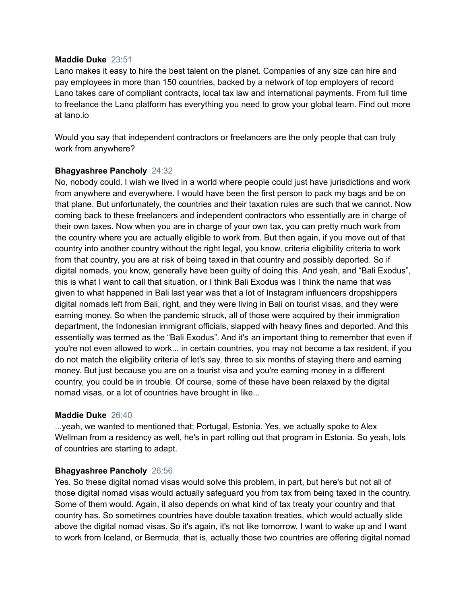#### **Maddie Duke** 23:51

Lano makes it easy to hire the best talent on the planet. Companies of any size can hire and pay employees in more than 150 countries, backed by a network of top employers of record Lano takes care of compliant contracts, local tax law and international payments. From full time to freelance the Lano platform has everything you need to grow your global team. Find out more at lano.io

Would you say that independent contractors or freelancers are the only people that can truly work from anywhere?

# **Bhagyashree Pancholy** 24:32

No, nobody could. I wish we lived in a world where people could just have jurisdictions and work from anywhere and everywhere. I would have been the first person to pack my bags and be on that plane. But unfortunately, the countries and their taxation rules are such that we cannot. Now coming back to these freelancers and independent contractors who essentially are in charge of their own taxes. Now when you are in charge of your own tax, you can pretty much work from the country where you are actually eligible to work from. But then again, if you move out of that country into another country without the right legal, you know, criteria eligibility criteria to work from that country, you are at risk of being taxed in that country and possibly deported. So if digital nomads, you know, generally have been guilty of doing this. And yeah, and "Bali Exodus", this is what I want to call that situation, or I think Bali Exodus was I think the name that was given to what happened in Bali last year was that a lot of Instagram influencers dropshippers digital nomads left from Bali, right, and they were living in Bali on tourist visas, and they were earning money. So when the pandemic struck, all of those were acquired by their immigration department, the Indonesian immigrant officials, slapped with heavy fines and deported. And this essentially was termed as the "Bali Exodus". And it's an important thing to remember that even if you're not even allowed to work... in certain countries, you may not become a tax resident, if you do not match the eligibility criteria of let's say, three to six months of staying there and earning money. But just because you are on a tourist visa and you're earning money in a different country, you could be in trouble. Of course, some of these have been relaxed by the digital nomad visas, or a lot of countries have brought in like...

# **Maddie Duke** 26:40

...yeah, we wanted to mentioned that; Portugal, Estonia. Yes, we actually spoke to Alex Wellman from a residency as well, he's in part rolling out that program in Estonia. So yeah, lots of countries are starting to adapt.

# **Bhagyashree Pancholy** 26:56

Yes. So these digital nomad visas would solve this problem, in part, but here's but not all of those digital nomad visas would actually safeguard you from tax from being taxed in the country. Some of them would. Again, it also depends on what kind of tax treaty your country and that country has. So sometimes countries have double taxation treaties, which would actually slide above the digital nomad visas. So it's again, it's not like tomorrow, I want to wake up and I want to work from Iceland, or Bermuda, that is, actually those two countries are offering digital nomad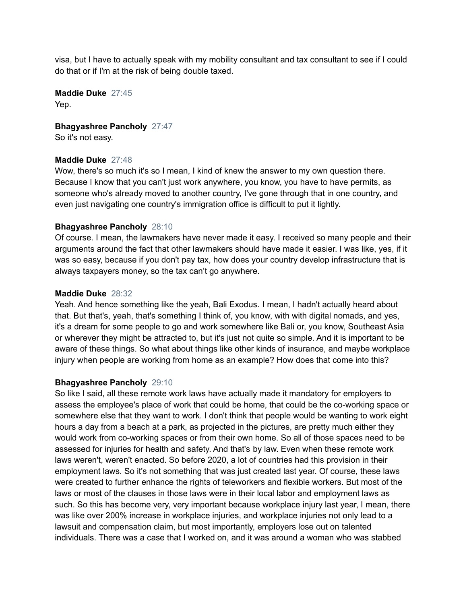visa, but I have to actually speak with my mobility consultant and tax consultant to see if I could do that or if I'm at the risk of being double taxed.

**Maddie Duke** 27:45 Yep.

**Bhagyashree Pancholy** 27:47

So it's not easy.

# **Maddie Duke** 27:48

Wow, there's so much it's so I mean, I kind of knew the answer to my own question there. Because I know that you can't just work anywhere, you know, you have to have permits, as someone who's already moved to another country, I've gone through that in one country, and even just navigating one country's immigration office is difficult to put it lightly.

# **Bhagyashree Pancholy** 28:10

Of course. I mean, the lawmakers have never made it easy. I received so many people and their arguments around the fact that other lawmakers should have made it easier. I was like, yes, if it was so easy, because if you don't pay tax, how does your country develop infrastructure that is always taxpayers money, so the tax can't go anywhere.

# **Maddie Duke** 28:32

Yeah. And hence something like the yeah, Bali Exodus. I mean, I hadn't actually heard about that. But that's, yeah, that's something I think of, you know, with with digital nomads, and yes, it's a dream for some people to go and work somewhere like Bali or, you know, Southeast Asia or wherever they might be attracted to, but it's just not quite so simple. And it is important to be aware of these things. So what about things like other kinds of insurance, and maybe workplace injury when people are working from home as an example? How does that come into this?

# **Bhagyashree Pancholy** 29:10

So like I said, all these remote work laws have actually made it mandatory for employers to assess the employee's place of work that could be home, that could be the co-working space or somewhere else that they want to work. I don't think that people would be wanting to work eight hours a day from a beach at a park, as projected in the pictures, are pretty much either they would work from co-working spaces or from their own home. So all of those spaces need to be assessed for injuries for health and safety. And that's by law. Even when these remote work laws weren't, weren't enacted. So before 2020, a lot of countries had this provision in their employment laws. So it's not something that was just created last year. Of course, these laws were created to further enhance the rights of teleworkers and flexible workers. But most of the laws or most of the clauses in those laws were in their local labor and employment laws as such. So this has become very, very important because workplace injury last year, I mean, there was like over 200% increase in workplace injuries, and workplace injuries not only lead to a lawsuit and compensation claim, but most importantly, employers lose out on talented individuals. There was a case that I worked on, and it was around a woman who was stabbed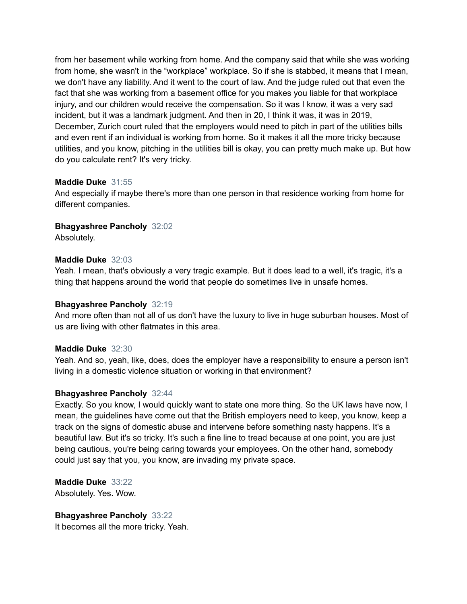from her basement while working from home. And the company said that while she was working from home, she wasn't in the "workplace" workplace. So if she is stabbed, it means that I mean, we don't have any liability. And it went to the court of law. And the judge ruled out that even the fact that she was working from a basement office for you makes you liable for that workplace injury, and our children would receive the compensation. So it was I know, it was a very sad incident, but it was a landmark judgment. And then in 20, I think it was, it was in 2019, December, Zurich court ruled that the employers would need to pitch in part of the utilities bills and even rent if an individual is working from home. So it makes it all the more tricky because utilities, and you know, pitching in the utilities bill is okay, you can pretty much make up. But how do you calculate rent? It's very tricky.

# **Maddie Duke** 31:55

And especially if maybe there's more than one person in that residence working from home for different companies.

# **Bhagyashree Pancholy** 32:02

Absolutely.

# **Maddie Duke** 32:03

Yeah. I mean, that's obviously a very tragic example. But it does lead to a well, it's tragic, it's a thing that happens around the world that people do sometimes live in unsafe homes.

# **Bhagyashree Pancholy** 32:19

And more often than not all of us don't have the luxury to live in huge suburban houses. Most of us are living with other flatmates in this area.

# **Maddie Duke** 32:30

Yeah. And so, yeah, like, does, does the employer have a responsibility to ensure a person isn't living in a domestic violence situation or working in that environment?

# **Bhagyashree Pancholy** 32:44

Exactly. So you know, I would quickly want to state one more thing. So the UK laws have now, I mean, the guidelines have come out that the British employers need to keep, you know, keep a track on the signs of domestic abuse and intervene before something nasty happens. It's a beautiful law. But it's so tricky. It's such a fine line to tread because at one point, you are just being cautious, you're being caring towards your employees. On the other hand, somebody could just say that you, you know, are invading my private space.

**Maddie Duke** 33:22 Absolutely. Yes. Wow.

**Bhagyashree Pancholy** 33:22 It becomes all the more tricky. Yeah.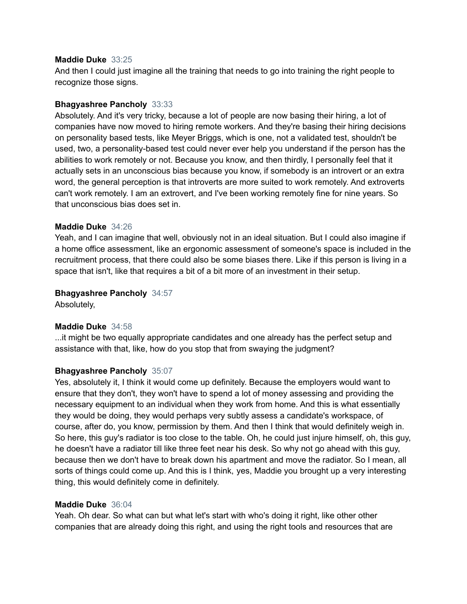#### **Maddie Duke** 33:25

And then I could just imagine all the training that needs to go into training the right people to recognize those signs.

# **Bhagyashree Pancholy** 33:33

Absolutely. And it's very tricky, because a lot of people are now basing their hiring, a lot of companies have now moved to hiring remote workers. And they're basing their hiring decisions on personality based tests, like Meyer Briggs, which is one, not a validated test, shouldn't be used, two, a personality-based test could never ever help you understand if the person has the abilities to work remotely or not. Because you know, and then thirdly, I personally feel that it actually sets in an unconscious bias because you know, if somebody is an introvert or an extra word, the general perception is that introverts are more suited to work remotely. And extroverts can't work remotely. I am an extrovert, and I've been working remotely fine for nine years. So that unconscious bias does set in.

# **Maddie Duke** 34:26

Yeah, and I can imagine that well, obviously not in an ideal situation. But I could also imagine if a home office assessment, like an ergonomic assessment of someone's space is included in the recruitment process, that there could also be some biases there. Like if this person is living in a space that isn't, like that requires a bit of a bit more of an investment in their setup.

# **Bhagyashree Pancholy** 34:57

Absolutely,

# **Maddie Duke** 34:58

...it might be two equally appropriate candidates and one already has the perfect setup and assistance with that, like, how do you stop that from swaying the judgment?

# **Bhagyashree Pancholy** 35:07

Yes, absolutely it, I think it would come up definitely. Because the employers would want to ensure that they don't, they won't have to spend a lot of money assessing and providing the necessary equipment to an individual when they work from home. And this is what essentially they would be doing, they would perhaps very subtly assess a candidate's workspace, of course, after do, you know, permission by them. And then I think that would definitely weigh in. So here, this guy's radiator is too close to the table. Oh, he could just injure himself, oh, this guy, he doesn't have a radiator till like three feet near his desk. So why not go ahead with this guy, because then we don't have to break down his apartment and move the radiator. So I mean, all sorts of things could come up. And this is I think, yes, Maddie you brought up a very interesting thing, this would definitely come in definitely.

# **Maddie Duke** 36:04

Yeah. Oh dear. So what can but what let's start with who's doing it right, like other other companies that are already doing this right, and using the right tools and resources that are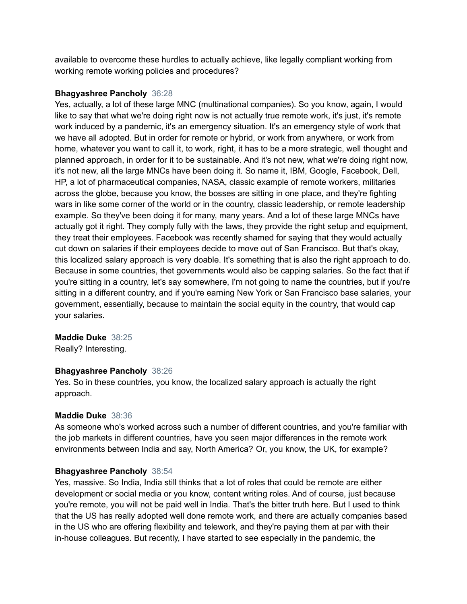available to overcome these hurdles to actually achieve, like legally compliant working from working remote working policies and procedures?

# **Bhagyashree Pancholy** 36:28

Yes, actually, a lot of these large MNC (multinational companies). So you know, again, I would like to say that what we're doing right now is not actually true remote work, it's just, it's remote work induced by a pandemic, it's an emergency situation. It's an emergency style of work that we have all adopted. But in order for remote or hybrid, or work from anywhere, or work from home, whatever you want to call it, to work, right, it has to be a more strategic, well thought and planned approach, in order for it to be sustainable. And it's not new, what we're doing right now, it's not new, all the large MNCs have been doing it. So name it, IBM, Google, Facebook, Dell, HP, a lot of pharmaceutical companies, NASA, classic example of remote workers, militaries across the globe, because you know, the bosses are sitting in one place, and they're fighting wars in like some corner of the world or in the country, classic leadership, or remote leadership example. So they've been doing it for many, many years. And a lot of these large MNCs have actually got it right. They comply fully with the laws, they provide the right setup and equipment, they treat their employees. Facebook was recently shamed for saying that they would actually cut down on salaries if their employees decide to move out of San Francisco. But that's okay, this localized salary approach is very doable. It's something that is also the right approach to do. Because in some countries, thet governments would also be capping salaries. So the fact that if you're sitting in a country, let's say somewhere, I'm not going to name the countries, but if you're sitting in a different country, and if you're earning New York or San Francisco base salaries, your government, essentially, because to maintain the social equity in the country, that would cap your salaries.

# **Maddie Duke** 38:25

Really? Interesting.

# **Bhagyashree Pancholy** 38:26

Yes. So in these countries, you know, the localized salary approach is actually the right approach.

# **Maddie Duke** 38:36

As someone who's worked across such a number of different countries, and you're familiar with the job markets in different countries, have you seen major differences in the remote work environments between India and say, North America? Or, you know, the UK, for example?

# **Bhagyashree Pancholy** 38:54

Yes, massive. So India, India still thinks that a lot of roles that could be remote are either development or social media or you know, content writing roles. And of course, just because you're remote, you will not be paid well in India. That's the bitter truth here. But I used to think that the US has really adopted well done remote work, and there are actually companies based in the US who are offering flexibility and telework, and they're paying them at par with their in-house colleagues. But recently, I have started to see especially in the pandemic, the